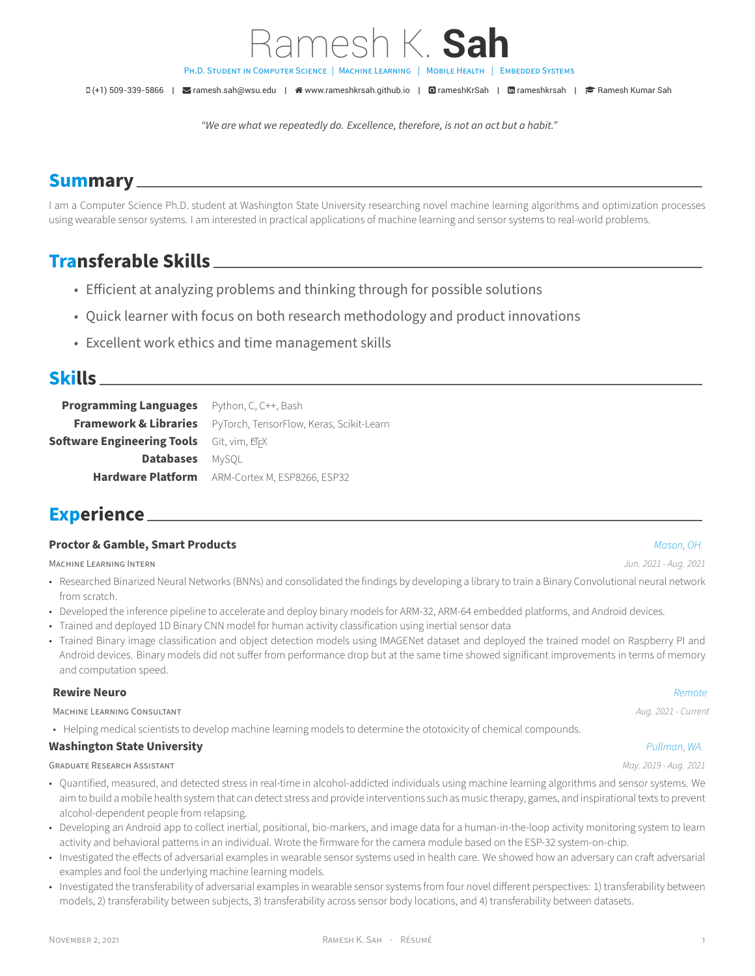PH.D. STUDENT IN COMPUTER SCIENCE | MACHINE LEARNING | MOBILE HEALTH | EMBEDDED SYSTEMS

D(+1) 509-339-5866 | **S**[ramesh.sah@wsu.edu](mailto:ramesh.sah@wsu.edu) | ペ [www.rameshkrsah.github.io](http://www.rameshkrsah.github.io) | **O**[rameshKrSah](https://github.com/rameshKrSah) | 面[rameshkrsah](https://www.linkedin.com/in/rameshkrsah) | **P** [Ramesh Kumar Sah](https://scholar.google.com/citations?user=https://scholar.google.com/citations?hl=en&authuser=1&user=c9vGxnIAAAAJ)

Ramesh K. **Sah**

*"We are what we repeatedly do. Excellence, therefore, is not an act but a habit."*

## **Summary**

I am a Computer Science Ph.D. student at Washington State University researching novel machine learning algorithms and optimization processes using wearable sensor systems. I am interested in practical applications of machine learning and sensor systems to real‑world problems.

# **Transferable Skills**

- Efficient at analyzing problems and thinking through for possible solutions
- Quick learner with focus on both research methodology and product innovations
- Excellent work ethics and time management skills

## **Skills**

**Programming Languages** Python, C, C++, Bash **Framework & Libraries** PyTorch, TensorFlow, Keras, Scikit-Learn **Software Engineering Tools** Git, vim, *E*TFX **Databases** MySQL **Hardware Platform** ARM‑Cortex M, ESP8266, ESP32

## **Experience**

#### **Proctor & Gamble, Smart Products** *Mason, OH.*

MACHiNE LEARNiNG INTERN *Jun. 2021 ‑ Aug. 2021*

- Researched Binarized Neural Networks (BNNs) and consolidated the findings by developing a library to train a Binary Convolutional neural network from scratch.
- Developed the inference pipeline to accelerate and deploy binary models for ARM‑32, ARM‑64 embedded platforms, and Android devices.
- Trained and deployed 1D Binary CNN model for human activity classification using inertial sensor data
- Trained Binary image classification and object detection models using IMAGENet dataset and deployed the trained model on Raspberry PI and Android devices. Binary models did not suffer from performance drop but at the same time showed significant improvements in terms of memory and computation speed.

#### **Rewire Neuro** *Remote*

MACHiNE LEARNiNG CONSULTANT *Aug. 2021 ‑ Current*

• Helping medical scientists to develop machine learning models to determine the ototoxicity of chemical compounds.

#### **Washington State University** *Pullman, WA.*

GRADUATE RESEARCH ASSiSTANT *May. 2019 ‑ Aug. 2021*

- Quantified, measured, and detected stress in real-time in alcohol-addicted individuals using machine learning algorithms and sensor systems. We aim to build a mobile health system that can detect stress and provide interventions such as music therapy, games, and inspirational texts to prevent alcohol-dependent people from relapsing.
- Developing an Android app to collect inertial, positional, bio-markers, and image data for a human-in-the-loop activity monitoring system to learn activity and behavioral patterns in an individual. Wrote the firmware for the camera module based on the ESP‑32 system‑on‑chip.
- Investigated the effects of adversarial examples in wearable sensor systems used in health care. We showed how an adversary can craft adversarial examples and fool the underlying machine learning models.
- Investigated the transferability of adversarial examples in wearable sensor systems from four novel different perspectives: 1) transferability between models, 2) transferability between subjects, 3) transferability across sensor body locations, and 4) transferability between datasets.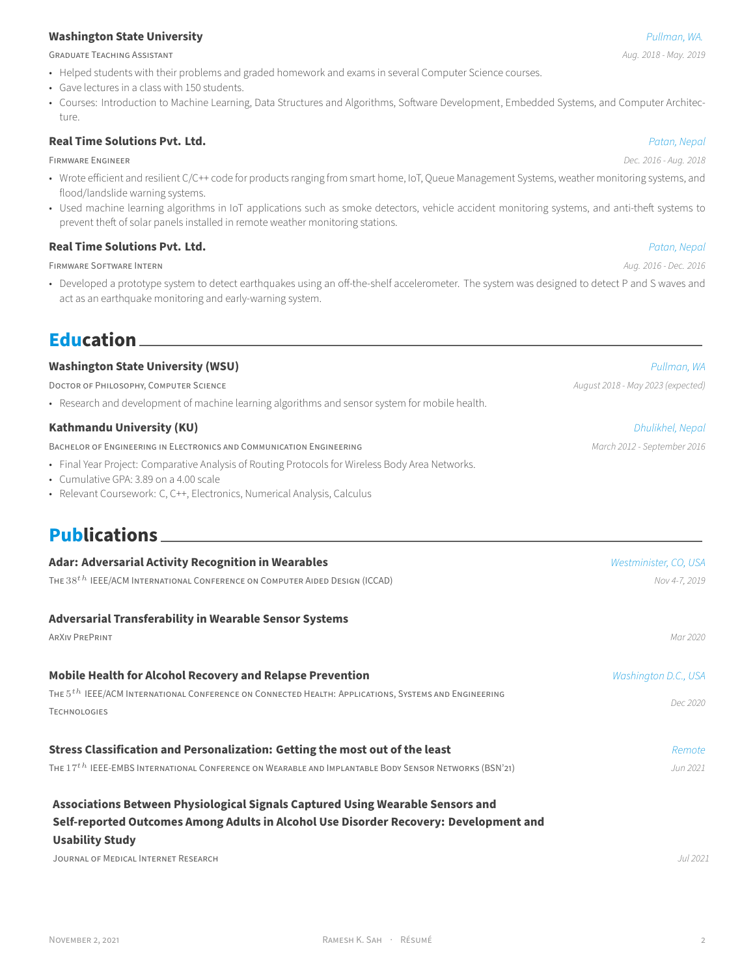### **Washington State University** *Pullman, WA.*

GRADUATE TEACHiNG ASSiSTANT *Aug. 2018 ‑ May. 2019*

- Helped students with their problems and graded homework and exams in several Computer Science courses.
- Gave lectures in a class with 150 students.
- Courses: Introduction to Machine Learning, Data Structures and Algorithms, Software Development, Embedded Systems, and Computer Architecture.

### **Real Time Solutions Pvt. Ltd.** *Patan, Nepal*

FiRMWARE ENGiNEER *Dec. 2016 ‑ Aug. 2018*

- Wrote efficient and resilient C/C++ code for products ranging from smart home, IoT, Queue Management Systems, weather monitoring systems, and flood/landslide warning systems.
- Used machine learning algorithms in IoT applications such as smoke detectors, vehicle accident monitoring systems, and anti-theft systems to prevent theft of solar panels installed in remote weather monitoring stations.

#### **Real Time Solutions Pvt. Ltd.** *Patan, Nepal*

FiRMWARE SOFTWARE INTERN *Aug. 2016 ‑ Dec. 2016*

• Developed a prototype system to detect earthquakes using an off-the-shelf accelerometer. The system was designed to detect P and S waves and act as an earthquake monitoring and early‑warning system.

## **Education**

#### **Washington State University (WSU)** *Pullman, WA*

DOCTOR OF PHiLOSOPHY, COMPUTER SCiENCE *August 2018 ‑ May 2023 (expected)*

• Research and development of machine learning algorithms and sensor system for mobile health.

#### **Kathmandu University (KU)** *Dhulikhel, Nepal*

BACHELOR OF ENGINEERING IN ELECTRONICS AND COMMUNICATION ENGINEERING *March 2012 · September 2016* 

- Final Year Project: Comparative Analysis of Routing Protocols for Wireless Body Area Networks.
- Cumulative GPA: 3.89 on a 4.00 scale
- Relevant Coursework: C, C++, Electronics, Numerical Analysis, Calculus

# **Publications**

| <b>Adar: Adversarial Activity Recognition in Wearables</b>                                                        | Westminister, CO, USA |
|-------------------------------------------------------------------------------------------------------------------|-----------------------|
| THE $38th$ IEEE/ACM INTERNATIONAL CONFERENCE ON COMPUTER AIDED DESIGN (ICCAD)                                     | Nov 4-7, 2019         |
| <b>Adversarial Transferability in Wearable Sensor Systems</b>                                                     |                       |
| <b>ARXIV PREPRINT</b>                                                                                             | Mar 2020              |
| <b>Mobile Health for Alcohol Recovery and Relapse Prevention</b>                                                  | Washington D.C., USA  |
| THE 5 <sup>th</sup> IEEE/ACM INTERNATIONAL CONFERENCE ON CONNECTED HEALTH: APPLICATIONS, SYSTEMS AND ENGINEERING  | Dec 2020              |
| <b>TECHNOLOGIES</b>                                                                                               |                       |
| Stress Classification and Personalization: Getting the most out of the least                                      | Remote                |
| THE 17 <sup>th</sup> IEEE-EMBS INTERNATIONAL CONFERENCE ON WEARABLE AND IMPLANTABLE BODY SENSOR NETWORKS (BSN'21) | Jun 2021              |
| Associations Between Physiological Signals Captured Using Wearable Sensors and                                    |                       |
| Self-reported Outcomes Among Adults in Alcohol Use Disorder Recovery: Development and<br><b>Usability Study</b>   |                       |

JOURNAL OF MEDiCAL INTERNET RESEARCH *Jul 2021*